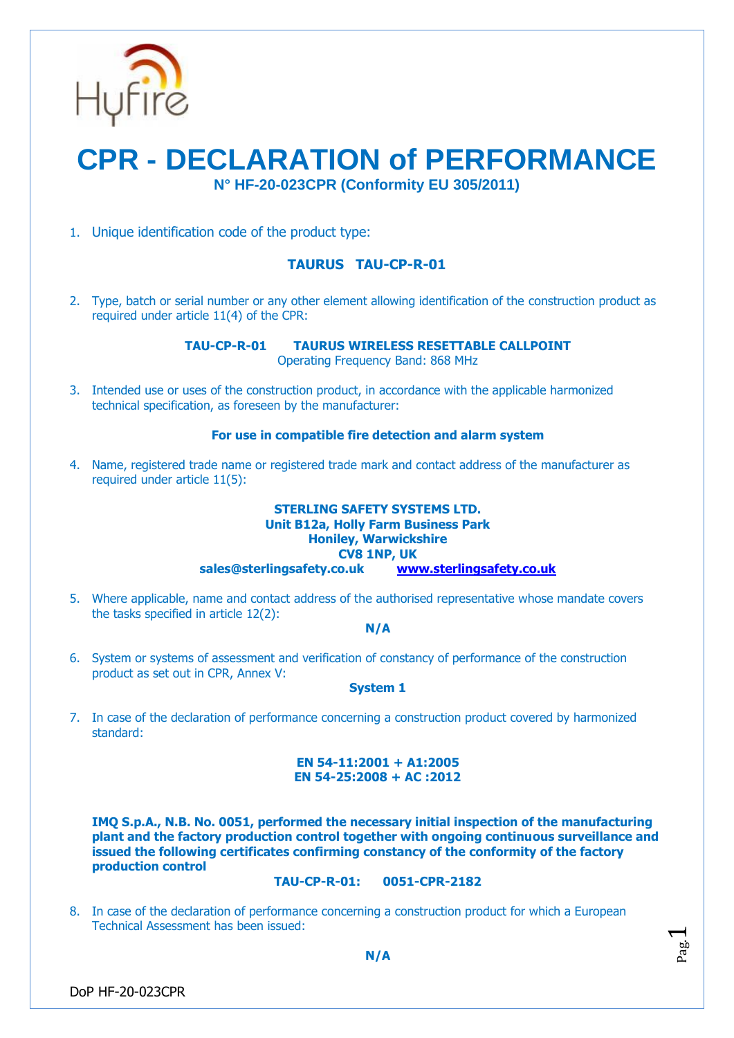

# **CPR - DECLARATION of PERFORMANCE N° HF-20-023CPR (Conformity EU 305/2011)**

1. Unique identification code of the product type:

# **TAURUS TAU-CP-R-01**

2. Type, batch or serial number or any other element allowing identification of the construction product as required under article 11(4) of the CPR:

**TAU-CP-R-01 TAURUS WIRELESS RESETTABLE CALLPOINT**

Operating Frequency Band: 868 MHz

3. Intended use or uses of the construction product, in accordance with the applicable harmonized technical specification, as foreseen by the manufacturer:

### **For use in compatible fire detection and alarm system**

4. Name, registered trade name or registered trade mark and contact address of the manufacturer as required under article 11(5):

#### **STERLING SAFETY SYSTEMS LTD. Unit B12a, Holly Farm Business Park Honiley, Warwickshire CV8 1NP, UK sales@sterlingsafety.co.uk [www.sterlingsafety.co.uk](http://www.sterlingsafety.co.uk/)**

5. Where applicable, name and contact address of the authorised representative whose mandate covers the tasks specified in article 12(2):

**N/A**

6. System or systems of assessment and verification of constancy of performance of the construction product as set out in CPR, Annex V:

#### **System 1**

7. In case of the declaration of performance concerning a construction product covered by harmonized standard:

## **EN 54-11:2001 + A1:2005 EN 54-25:2008 + AC :2012**

**IMQ S.p.A., N.B. No. 0051, performed the necessary initial inspection of the manufacturing plant and the factory production control together with ongoing continuous surveillance and issued the following certificates confirming constancy of the conformity of the factory production control**

#### **TAU-CP-R-01: 0051-CPR-2182**

8. In case of the declaration of performance concerning a construction product for which a European Technical Assessment has been issued:

Pag.  $\overline{\phantom{0}}$ 

DoP HF-20-023CPR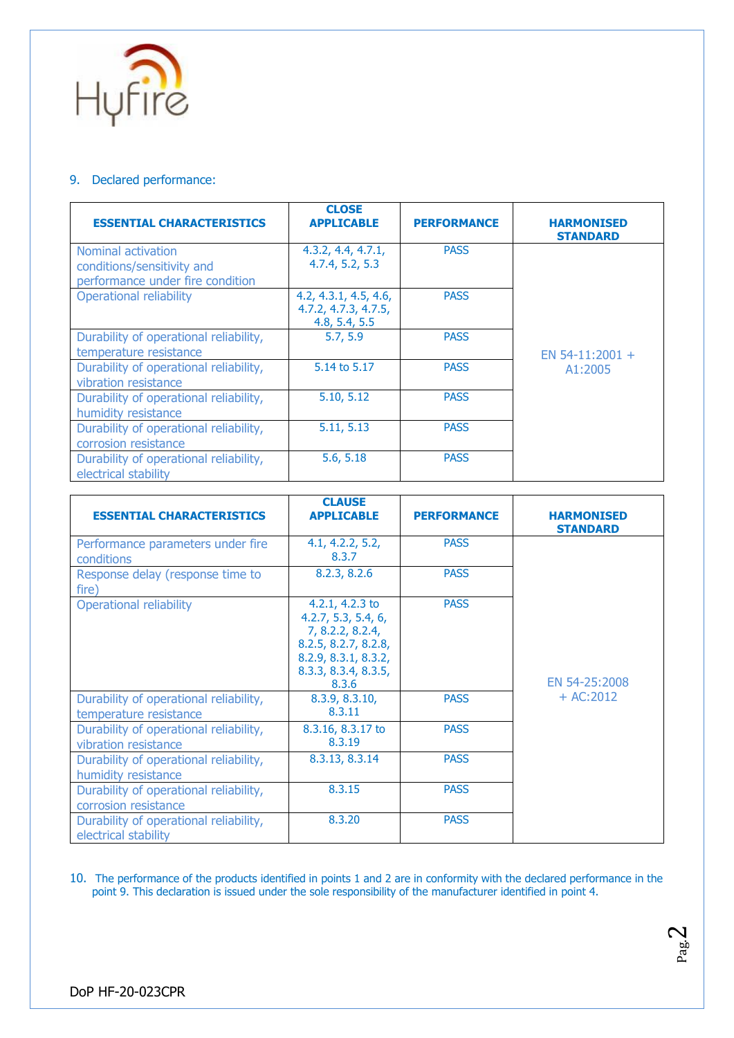

# 9. Declared performance:

| <b>ESSENTIAL CHARACTERISTICS</b>                                                     | <b>CLOSE</b><br><b>APPLICABLE</b>                              | <b>PERFORMANCE</b> | <b>HARMONISED</b><br><b>STANDARD</b> |
|--------------------------------------------------------------------------------------|----------------------------------------------------------------|--------------------|--------------------------------------|
| Nominal activation<br>conditions/sensitivity and<br>performance under fire condition | 4.3.2, 4.4, 4.7.1,<br>4.7.4, 5.2, 5.3                          | <b>PASS</b>        |                                      |
| <b>Operational reliability</b>                                                       | 4.2, 4.3.1, 4.5, 4.6,<br>4.7.2, 4.7.3, 4.7.5,<br>4.8, 5.4, 5.5 | <b>PASS</b>        |                                      |
| Durability of operational reliability,<br>temperature resistance                     | 5.7, 5.9                                                       | <b>PASS</b>        | EN 54-11:2001 +                      |
| Durability of operational reliability,<br>vibration resistance                       | 5.14 to 5.17                                                   | <b>PASS</b>        | A1:2005                              |
| Durability of operational reliability,<br>humidity resistance                        | 5.10, 5.12                                                     | <b>PASS</b>        |                                      |
| Durability of operational reliability,<br>corrosion resistance                       | 5.11, 5.13                                                     | <b>PASS</b>        |                                      |
| Durability of operational reliability,<br>electrical stability                       | 5.6, 5.18                                                      | <b>PASS</b>        |                                      |

| <b>ESSENTIAL CHARACTERISTICS</b>                                 | <b>CLAUSE</b><br><b>APPLICABLE</b>                                                                                                          | <b>PERFORMANCE</b> | <b>HARMONISED</b><br><b>STANDARD</b> |
|------------------------------------------------------------------|---------------------------------------------------------------------------------------------------------------------------------------------|--------------------|--------------------------------------|
| Performance parameters under fire<br>conditions                  | 4.1, 4.2.2, 5.2,<br>8.3.7                                                                                                                   | <b>PASS</b>        | EN 54-25:2008<br>$+ AC:2012$         |
| Response delay (response time to<br>fire)                        | 8.2.3, 8.2.6                                                                                                                                | <b>PASS</b>        |                                      |
| <b>Operational reliability</b>                                   | 4.2.1, 4.2.3 to<br>4.2.7, 5.3, 5.4, 6,<br>7, 8.2.2, 8.2.4,<br>8.2.5, 8.2.7, 8.2.8,<br>8.2.9, 8.3.1, 8.3.2,<br>8.3.3, 8.3.4, 8.3.5,<br>8.3.6 | <b>PASS</b>        |                                      |
| Durability of operational reliability,<br>temperature resistance | 8.3.9, 8.3.10,<br>8.3.11                                                                                                                    | <b>PASS</b>        |                                      |
| Durability of operational reliability,<br>vibration resistance   | 8.3.16, 8.3.17 to<br>8.3.19                                                                                                                 | <b>PASS</b>        |                                      |
| Durability of operational reliability,<br>humidity resistance    | 8.3.13, 8.3.14                                                                                                                              | <b>PASS</b>        |                                      |
| Durability of operational reliability,<br>corrosion resistance   | 8.3.15                                                                                                                                      | <b>PASS</b>        |                                      |
| Durability of operational reliability,<br>electrical stability   | 8.3.20                                                                                                                                      | <b>PASS</b>        |                                      |

10. The performance of the products identified in points 1 and 2 are in conformity with the declared performance in the point 9. This declaration is issued under the sole responsibility of the manufacturer identified in point 4.